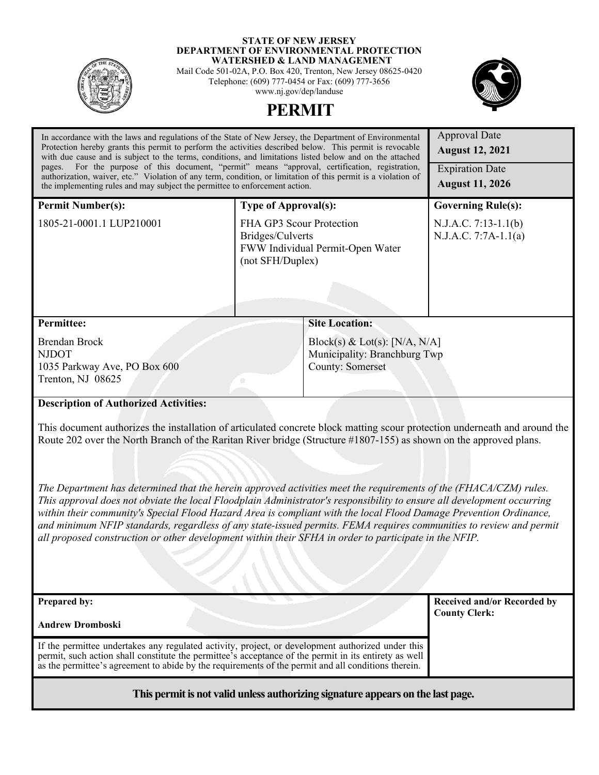

#### **STATE OF NEW JERSEY DEPARTMENT OF ENVIRONMENTAL PROTECTION WATERSHED & LAND MANAGEMENT**

Mail Code 501-02A, P.O. Box 420, Trenton, New Jersey 08625-0420 Telephone: (609) 777-0454 or Fax: (609) 777-3656 www.nj.gov/dep/landuse



# **PERMIT**

| In accordance with the laws and regulations of the State of New Jersey, the Department of Environmental<br>Protection hereby grants this permit to perform the activities described below. This permit is revocable<br>with due cause and is subject to the terms, conditions, and limitations listed below and on the attached                                                                                                                                                                                                                                                                                                                                                                                                                                                                                                                                                                    |                                                                                                      | <b>Approval Date</b><br><b>August 12, 2021</b>      |  |
|----------------------------------------------------------------------------------------------------------------------------------------------------------------------------------------------------------------------------------------------------------------------------------------------------------------------------------------------------------------------------------------------------------------------------------------------------------------------------------------------------------------------------------------------------------------------------------------------------------------------------------------------------------------------------------------------------------------------------------------------------------------------------------------------------------------------------------------------------------------------------------------------------|------------------------------------------------------------------------------------------------------|-----------------------------------------------------|--|
| pages. For the purpose of this document, "permit" means "approval, certification, registration,<br>authorization, waiver, etc." Violation of any term, condition, or limitation of this permit is a violation of<br>the implementing rules and may subject the permittee to enforcement action.                                                                                                                                                                                                                                                                                                                                                                                                                                                                                                                                                                                                    |                                                                                                      | <b>Expiration Date</b><br><b>August 11, 2026</b>    |  |
| <b>Permit Number(s):</b>                                                                                                                                                                                                                                                                                                                                                                                                                                                                                                                                                                                                                                                                                                                                                                                                                                                                           | <b>Type of Approval(s):</b>                                                                          | <b>Governing Rule(s):</b>                           |  |
| 1805-21-0001.1 LUP210001                                                                                                                                                                                                                                                                                                                                                                                                                                                                                                                                                                                                                                                                                                                                                                                                                                                                           | FHA GP3 Scour Protection<br>Bridges/Culverts<br>FWW Individual Permit-Open Water<br>(not SFH/Duplex) | N.J.A.C. 7:13-1.1(b)<br>N.J.A.C. 7:7A-1.1(a)        |  |
| <b>Permittee:</b>                                                                                                                                                                                                                                                                                                                                                                                                                                                                                                                                                                                                                                                                                                                                                                                                                                                                                  | <b>Site Location:</b>                                                                                |                                                     |  |
| <b>Brendan Brock</b><br><b>NJDOT</b><br>1035 Parkway Ave, PO Box 600<br>Trenton, NJ 08625                                                                                                                                                                                                                                                                                                                                                                                                                                                                                                                                                                                                                                                                                                                                                                                                          | Block(s) & Lot(s): [N/A, N/A]<br>Municipality: Branchburg Twp<br><b>County: Somerset</b>             |                                                     |  |
| <b>Description of Authorized Activities:</b><br>This document authorizes the installation of articulated concrete block matting scour protection underneath and around the<br>Route 202 over the North Branch of the Raritan River bridge (Structure #1807-155) as shown on the approved plans.<br>The Department has determined that the herein approved activities meet the requirements of the (FHACA/CZM) rules.<br>This approval does not obviate the local Floodplain Administrator's responsibility to ensure all development occurring<br>within their community's Special Flood Hazard Area is compliant with the local Flood Damage Prevention Ordinance,<br>and minimum NFIP standards, regardless of any state-issued permits. FEMA requires communities to review and permit<br>all proposed construction or other development within their SFHA in order to participate in the NFIP. |                                                                                                      |                                                     |  |
| Prepared by:                                                                                                                                                                                                                                                                                                                                                                                                                                                                                                                                                                                                                                                                                                                                                                                                                                                                                       |                                                                                                      | Received and/or Recorded by<br><b>County Clerk:</b> |  |
| <b>Andrew Dromboski</b>                                                                                                                                                                                                                                                                                                                                                                                                                                                                                                                                                                                                                                                                                                                                                                                                                                                                            |                                                                                                      |                                                     |  |
| If the permittee undertakes any regulated activity, project, or development authorized under this<br>permit, such action shall constitute the permittee's acceptance of the permit in its entirety as well<br>as the permittee's agreement to abide by the requirements of the permit and all conditions therein.                                                                                                                                                                                                                                                                                                                                                                                                                                                                                                                                                                                  |                                                                                                      |                                                     |  |
| This permit is not valid unless authorizing signature appears on the last page.                                                                                                                                                                                                                                                                                                                                                                                                                                                                                                                                                                                                                                                                                                                                                                                                                    |                                                                                                      |                                                     |  |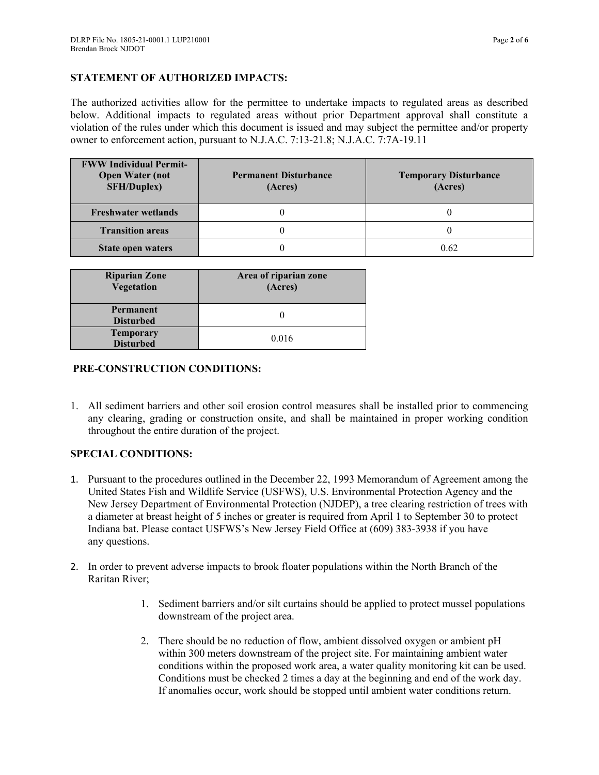# **STATEMENT OF AUTHORIZED IMPACTS:**

The authorized activities allow for the permittee to undertake impacts to regulated areas as described below. Additional impacts to regulated areas without prior Department approval shall constitute a violation of the rules under which this document is issued and may subject the permittee and/or property owner to enforcement action, pursuant to N.J.A.C. 7:13-21.8; N.J.A.C. 7:7A-19.11

| <b>FWW Individual Permit-</b><br><b>Open Water (not</b><br><b>SFH/Duplex)</b> | <b>Permanent Disturbance</b><br>(Acres) | <b>Temporary Disturbance</b><br>(Acres) |
|-------------------------------------------------------------------------------|-----------------------------------------|-----------------------------------------|
| <b>Freshwater wetlands</b>                                                    |                                         |                                         |
| <b>Transition areas</b>                                                       |                                         |                                         |
| <b>State open waters</b>                                                      |                                         | 0.62                                    |

| <b>Riparian Zone</b><br>Vegetation | Area of riparian zone<br>(Acres) |  |
|------------------------------------|----------------------------------|--|
| Permanent                          |                                  |  |
| <b>Disturbed</b>                   |                                  |  |
| <b>Temporary</b>                   |                                  |  |
| <b>Disturbed</b>                   | 0.016                            |  |

## **PRE-CONSTRUCTION CONDITIONS:**

1. All sediment barriers and other soil erosion control measures shall be installed prior to commencing any clearing, grading or construction onsite, and shall be maintained in proper working condition throughout the entire duration of the project.

# **SPECIAL CONDITIONS:**

- 1. Pursuant to the procedures outlined in the December 22, 1993 Memorandum of Agreement among the United States Fish and Wildlife Service (USFWS), U.S. Environmental Protection Agency and the New Jersey Department of Environmental Protection (NJDEP), a tree clearing restriction of trees with a diameter at breast height of 5 inches or greater is required from April 1 to September 30 to protect Indiana bat. Please contact USFWS's New Jersey Field Office at (609) 383-3938 if you have any questions.
- 2. In order to prevent adverse impacts to brook floater populations within the North Branch of the Raritan River;
	- 1. Sediment barriers and/or silt curtains should be applied to protect mussel populations downstream of the project area.
	- 2. There should be no reduction of flow, ambient dissolved oxygen or ambient pH within 300 meters downstream of the project site. For maintaining ambient water conditions within the proposed work area, a water quality monitoring kit can be used. Conditions must be checked 2 times a day at the beginning and end of the work day. If anomalies occur, work should be stopped until ambient water conditions return.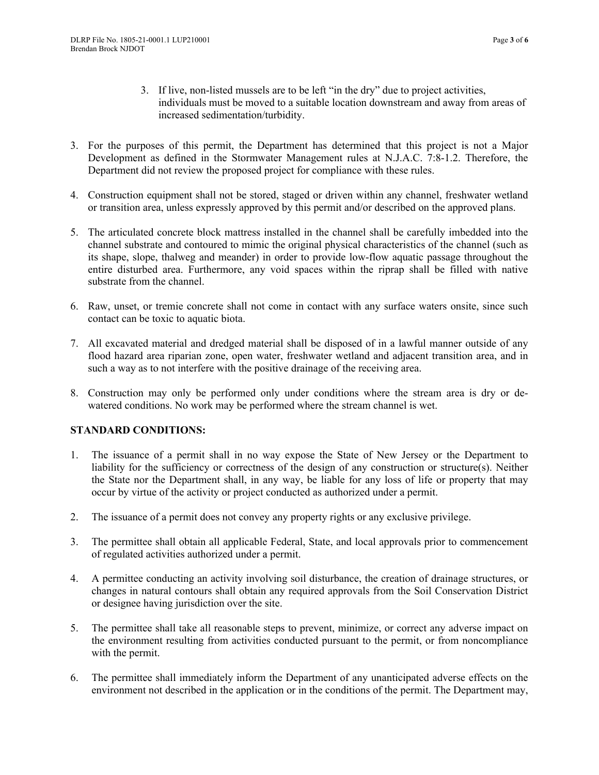- 3. If live, non-listed mussels are to be left "in the dry" due to project activities, individuals must be moved to a suitable location downstream and away from areas of increased sedimentation/turbidity.
- 3. For the purposes of this permit, the Department has determined that this project is not a Major Development as defined in the Stormwater Management rules at N.J.A.C. 7:8-1.2. Therefore, the Department did not review the proposed project for compliance with these rules.
- 4. Construction equipment shall not be stored, staged or driven within any channel, freshwater wetland or transition area, unless expressly approved by this permit and/or described on the approved plans.
- 5. The articulated concrete block mattress installed in the channel shall be carefully imbedded into the channel substrate and contoured to mimic the original physical characteristics of the channel (such as its shape, slope, thalweg and meander) in order to provide low-flow aquatic passage throughout the entire disturbed area. Furthermore, any void spaces within the riprap shall be filled with native substrate from the channel.
- 6. Raw, unset, or tremie concrete shall not come in contact with any surface waters onsite, since such contact can be toxic to aquatic biota.
- 7. All excavated material and dredged material shall be disposed of in a lawful manner outside of any flood hazard area riparian zone, open water, freshwater wetland and adjacent transition area, and in such a way as to not interfere with the positive drainage of the receiving area.
- 8. Construction may only be performed only under conditions where the stream area is dry or dewatered conditions. No work may be performed where the stream channel is wet.

# **STANDARD CONDITIONS:**

- 1. The issuance of a permit shall in no way expose the State of New Jersey or the Department to liability for the sufficiency or correctness of the design of any construction or structure(s). Neither the State nor the Department shall, in any way, be liable for any loss of life or property that may occur by virtue of the activity or project conducted as authorized under a permit.
- 2. The issuance of a permit does not convey any property rights or any exclusive privilege.
- 3. The permittee shall obtain all applicable Federal, State, and local approvals prior to commencement of regulated activities authorized under a permit.
- 4. A permittee conducting an activity involving soil disturbance, the creation of drainage structures, or changes in natural contours shall obtain any required approvals from the Soil Conservation District or designee having jurisdiction over the site.
- 5. The permittee shall take all reasonable steps to prevent, minimize, or correct any adverse impact on the environment resulting from activities conducted pursuant to the permit, or from noncompliance with the permit.
- 6. The permittee shall immediately inform the Department of any unanticipated adverse effects on the environment not described in the application or in the conditions of the permit. The Department may,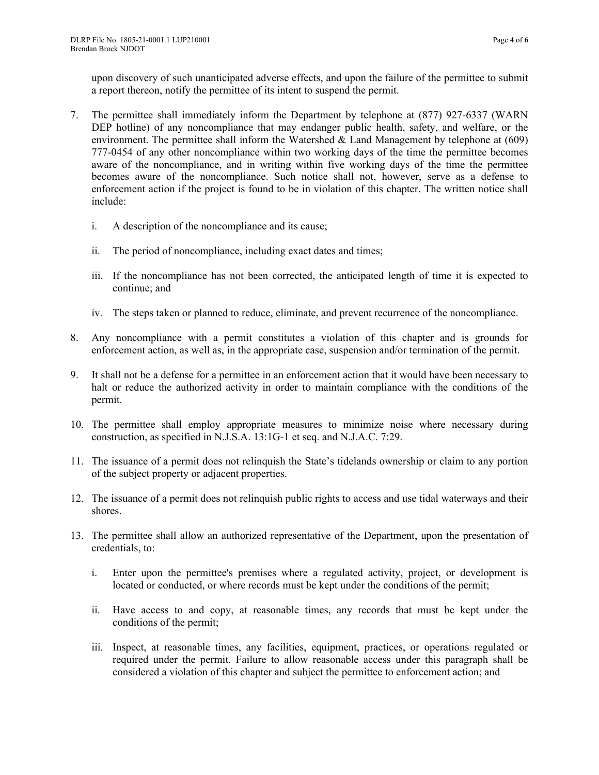upon discovery of such unanticipated adverse effects, and upon the failure of the permittee to submit a report thereon, notify the permittee of its intent to suspend the permit.

- 7. The permittee shall immediately inform the Department by telephone at (877) 927-6337 (WARN DEP hotline) of any noncompliance that may endanger public health, safety, and welfare, or the environment. The permittee shall inform the Watershed  $\&$  Land Management by telephone at (609) 777-0454 of any other noncompliance within two working days of the time the permittee becomes aware of the noncompliance, and in writing within five working days of the time the permittee becomes aware of the noncompliance. Such notice shall not, however, serve as a defense to enforcement action if the project is found to be in violation of this chapter. The written notice shall include:
	- i. A description of the noncompliance and its cause;
	- ii. The period of noncompliance, including exact dates and times;
	- iii. If the noncompliance has not been corrected, the anticipated length of time it is expected to continue; and
	- iv. The steps taken or planned to reduce, eliminate, and prevent recurrence of the noncompliance.
- 8. Any noncompliance with a permit constitutes a violation of this chapter and is grounds for enforcement action, as well as, in the appropriate case, suspension and/or termination of the permit.
- 9. It shall not be a defense for a permittee in an enforcement action that it would have been necessary to halt or reduce the authorized activity in order to maintain compliance with the conditions of the permit.
- 10. The permittee shall employ appropriate measures to minimize noise where necessary during construction, as specified in N.J.S.A. 13:1G-1 et seq. and N.J.A.C. 7:29.
- 11. The issuance of a permit does not relinquish the State's tidelands ownership or claim to any portion of the subject property or adjacent properties.
- 12. The issuance of a permit does not relinquish public rights to access and use tidal waterways and their shores.
- 13. The permittee shall allow an authorized representative of the Department, upon the presentation of credentials, to:
	- i. Enter upon the permittee's premises where a regulated activity, project, or development is located or conducted, or where records must be kept under the conditions of the permit;
	- ii. Have access to and copy, at reasonable times, any records that must be kept under the conditions of the permit;
	- iii. Inspect, at reasonable times, any facilities, equipment, practices, or operations regulated or required under the permit. Failure to allow reasonable access under this paragraph shall be considered a violation of this chapter and subject the permittee to enforcement action; and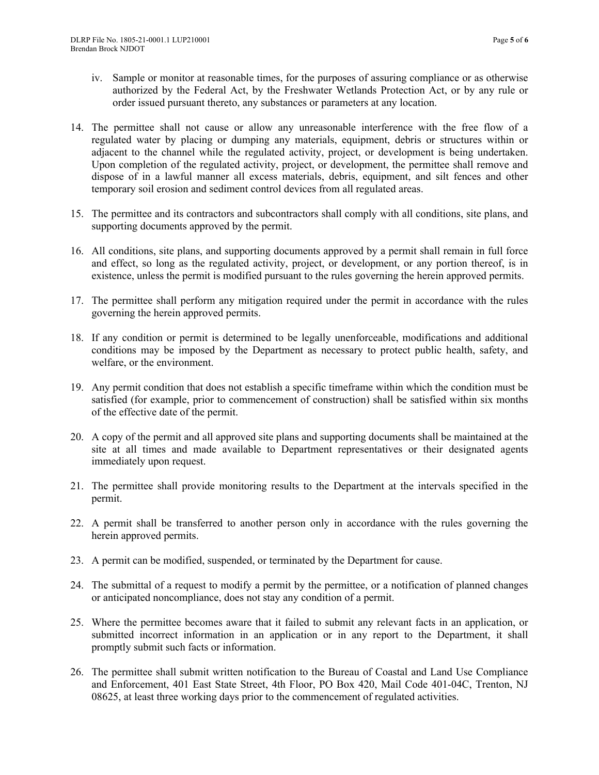- iv. Sample or monitor at reasonable times, for the purposes of assuring compliance or as otherwise authorized by the Federal Act, by the Freshwater Wetlands Protection Act, or by any rule or order issued pursuant thereto, any substances or parameters at any location.
- 14. The permittee shall not cause or allow any unreasonable interference with the free flow of a regulated water by placing or dumping any materials, equipment, debris or structures within or adjacent to the channel while the regulated activity, project, or development is being undertaken. Upon completion of the regulated activity, project, or development, the permittee shall remove and dispose of in a lawful manner all excess materials, debris, equipment, and silt fences and other temporary soil erosion and sediment control devices from all regulated areas.
- 15. The permittee and its contractors and subcontractors shall comply with all conditions, site plans, and supporting documents approved by the permit.
- 16. All conditions, site plans, and supporting documents approved by a permit shall remain in full force and effect, so long as the regulated activity, project, or development, or any portion thereof, is in existence, unless the permit is modified pursuant to the rules governing the herein approved permits.
- 17. The permittee shall perform any mitigation required under the permit in accordance with the rules governing the herein approved permits.
- 18. If any condition or permit is determined to be legally unenforceable, modifications and additional conditions may be imposed by the Department as necessary to protect public health, safety, and welfare, or the environment.
- 19. Any permit condition that does not establish a specific timeframe within which the condition must be satisfied (for example, prior to commencement of construction) shall be satisfied within six months of the effective date of the permit.
- 20. A copy of the permit and all approved site plans and supporting documents shall be maintained at the site at all times and made available to Department representatives or their designated agents immediately upon request.
- 21. The permittee shall provide monitoring results to the Department at the intervals specified in the permit.
- 22. A permit shall be transferred to another person only in accordance with the rules governing the herein approved permits.
- 23. A permit can be modified, suspended, or terminated by the Department for cause.
- 24. The submittal of a request to modify a permit by the permittee, or a notification of planned changes or anticipated noncompliance, does not stay any condition of a permit.
- 25. Where the permittee becomes aware that it failed to submit any relevant facts in an application, or submitted incorrect information in an application or in any report to the Department, it shall promptly submit such facts or information.
- 26. The permittee shall submit written notification to the Bureau of Coastal and Land Use Compliance and Enforcement, 401 East State Street, 4th Floor, PO Box 420, Mail Code 401-04C, Trenton, NJ 08625, at least three working days prior to the commencement of regulated activities.